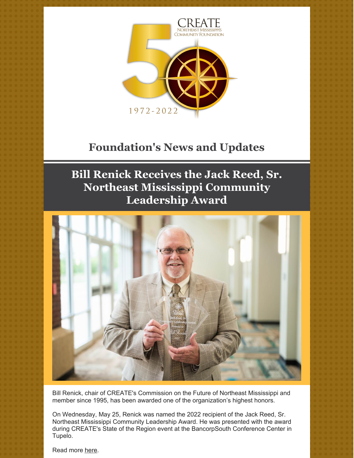

# **Foundation's News and Updates**

## **Bill Renick Receives the Jack Reed, Sr. Northeast Mississippi Community Leadership Award**



Bill Renick, chair of CREATE's Commission on the Future of Northeast Mississippi and member since 1995, has been awarded one of the organization's highest honors.

On Wednesday, May 25, Renick was named the 2022 recipient of the Jack Reed, Sr. Northeast Mississippi Community Leadership Award. He was presented with the award during CREATE's State of the Region event at the BancorpSouth Conference Center in Tupelo.

Read more [here](https://www.djournal.com/news/business/bill-renick-named-2022-community-leadership-award-recipient-at-annual-create-meeting/article_884425b8-6195-5359-acb7-24dc2d2e1bfd.html).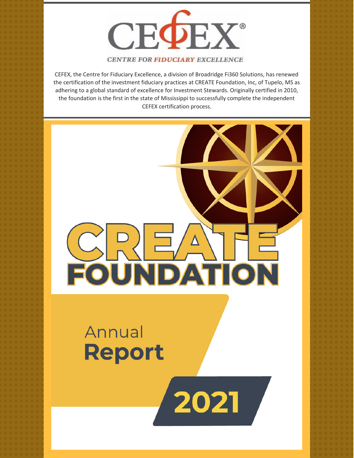

#### **CENTRE FOR FIDUCIARY EXCELLENCE**

CEFEX, the Centre for Fiduciary Excellence, a division of Broadridge Fi360 Solutions, has renewed the certification of the investment fiduciary practices at CREATE Foundation, Inc, of Tupelo, MS as adhering to a global standard of excellence for Investment Stewards. Originally certified in 2010, the foundation is the first in the state of Mississippi to successfully complete the independent CEFEX certification process.

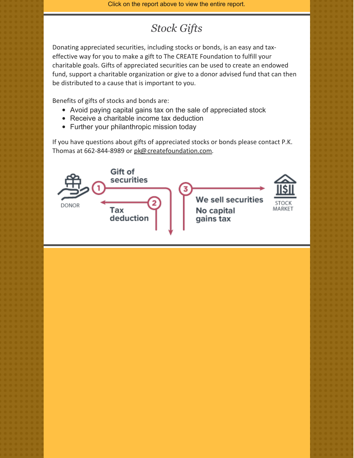Click on the report above to view the entire report.

## *Stock Gifts*

Donating appreciated securities, including stocks or bonds, is an easy and taxeffective way for you to make a gift to The CREATE Foundation to fulfill your charitable goals. Gifts of appreciated securities can be used to create an endowed fund, support a charitable organization or give to a donor advised fund that can then be distributed to a cause that is important to you.

Benefits of gifts of stocks and bonds are:

- Avoid paying capital gains tax on the sale of appreciated stock
- Receive a charitable income tax deduction
- Further your philanthropic mission today

If you have questions about gifts of appreciated stocks or bonds please contact P.K. Thomas at 662-844-8989 or [pk@createfoundation.com](mailto:pk@createfoundation.com).

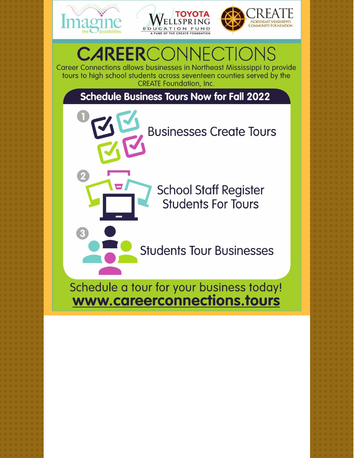





#### **VECTI CAREERCOM**

Career Connections allows businesses in Northeast Mississippi to provide tours to high school students across seventeen counties served by the **CREATE Foundation, Inc.** 

**Schedule Business Tours Now for Fall 2022** 

**Businesses Create Tours** 

**School Staff Register Students For Tours** 

**Students Tour Businesses** 

Schedule a tour for your business today! www.careerconnections.tours